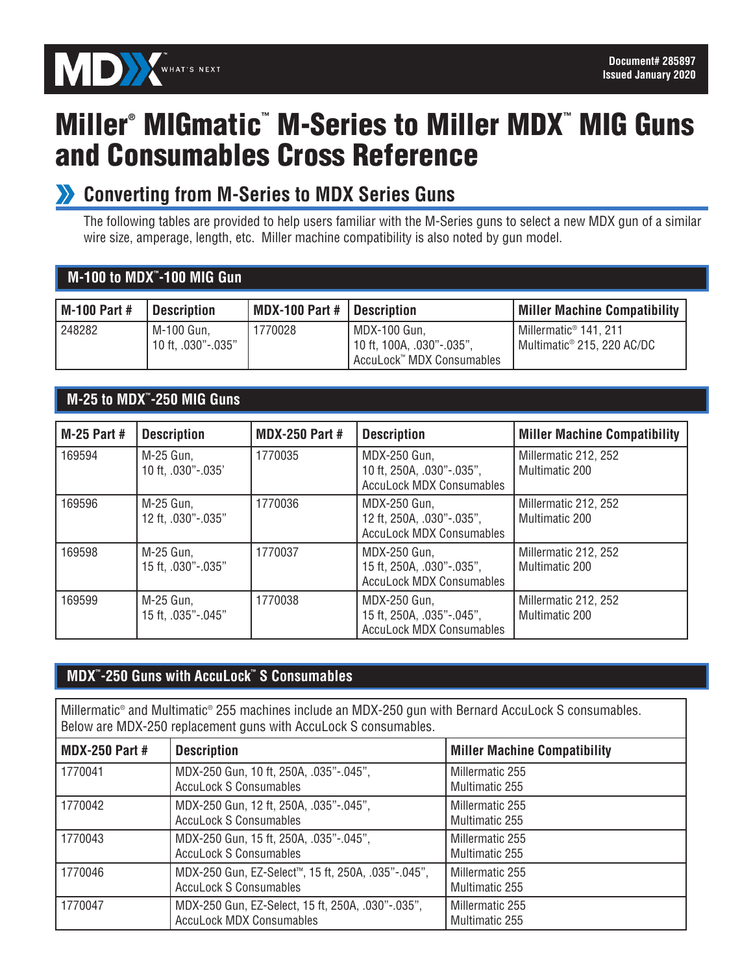

# Miller<sup>®</sup> MIGmatic<sup>™</sup> M-Series to Miller MDX™ MIG Guns and Consumables Cross Reference

### **Converting from M-Series to MDX Series Guns**

The following tables are provided to help users familiar with the M-Series guns to select a new MDX gun of a similar wire size, amperage, length, etc. Miller machine compatibility is also noted by gun model.

#### **M-100 to MDX™ -100 MIG Gun**

| M-100 Part # | <b>Description</b>               | MDX-100 Part #   Description |                                                                        | <b>Miller Machine Compatibility</b>                                           |
|--------------|----------------------------------|------------------------------|------------------------------------------------------------------------|-------------------------------------------------------------------------------|
| 248282       | M-100 Gun,<br>10 ft. .030"-.035" | 770028                       | MDX-100 Gun.<br>10 ft, 100A, .030"-.035",<br>AccuLock™ MDX Consumables | I Millermatic <sup>®</sup> 141, 211<br>Multimatic <sup>®</sup> 215, 220 AC/DC |

#### **M-25 to MDX™ -250 MIG Guns**

| <b>M-25 Part #</b> | <b>Description</b>              | <b>MDX-250 Part #</b> | <b>Description</b>                                                           | <b>Miller Machine Compatibility</b>           |
|--------------------|---------------------------------|-----------------------|------------------------------------------------------------------------------|-----------------------------------------------|
| 169594             | M-25 Gun,<br>10 ft, .030"-.035' | 1770035               | MDX-250 Gun,<br>10 ft, 250A, .030"-.035",<br><b>AccuLock MDX Consumables</b> | Millermatic 212, 252<br><b>Multimatic 200</b> |
| 169596             | M-25 Gun.<br>12 ft, .030"-.035" | 1770036               | MDX-250 Gun,<br>12 ft, 250A, .030"-.035",<br><b>AccuLock MDX Consumables</b> | Millermatic 212, 252<br><b>Multimatic 200</b> |
| 169598             | M-25 Gun,<br>15 ft, .030"-.035" | 1770037               | MDX-250 Gun,<br>15 ft, 250A, .030"-.035",<br><b>AccuLock MDX Consumables</b> | Millermatic 212, 252<br>Multimatic 200        |
| 169599             | M-25 Gun,<br>15 ft, .035"-.045" | 1770038               | MDX-250 Gun,<br>15 ft, 250A, .035"-.045",<br><b>AccuLock MDX Consumables</b> | Millermatic 212, 252<br><b>Multimatic 200</b> |

#### **MDX™ -250 Guns with AccuLock™ S Consumables**

Millermatic® and Multimatic® 255 machines include an MDX-250 gun with Bernard AccuLock S consumables. Below are MDX-250 replacement guns with AccuLock S consumables.

| <b>MDX-250 Part #</b> | <b>Description</b>                                                                               | <b>Miller Machine Compatibility</b> |
|-----------------------|--------------------------------------------------------------------------------------------------|-------------------------------------|
| 1770041               | MDX-250 Gun, 10 ft, 250A, .035"-.045",<br><b>AccuLock S Consumables</b>                          | Millermatic 255<br>Multimatic 255   |
| 1770042               | MDX-250 Gun, 12 ft, 250A, .035"-.045",<br><b>AccuLock S Consumables</b>                          | Millermatic 255<br>Multimatic 255   |
| 1770043               | MDX-250 Gun, 15 ft, 250A, .035"-.045",<br><b>AccuLock S Consumables</b>                          | Millermatic 255<br>Multimatic 255   |
| 1770046               | MDX-250 Gun, EZ-Select <sup>™</sup> , 15 ft, 250A, .035"-.045",<br><b>AccuLock S Consumables</b> | Millermatic 255<br>Multimatic 255   |
| 1770047               | MDX-250 Gun, EZ-Select, 15 ft, 250A, .030"-.035",<br><b>AccuLock MDX Consumables</b>             | Millermatic 255<br>Multimatic 255   |